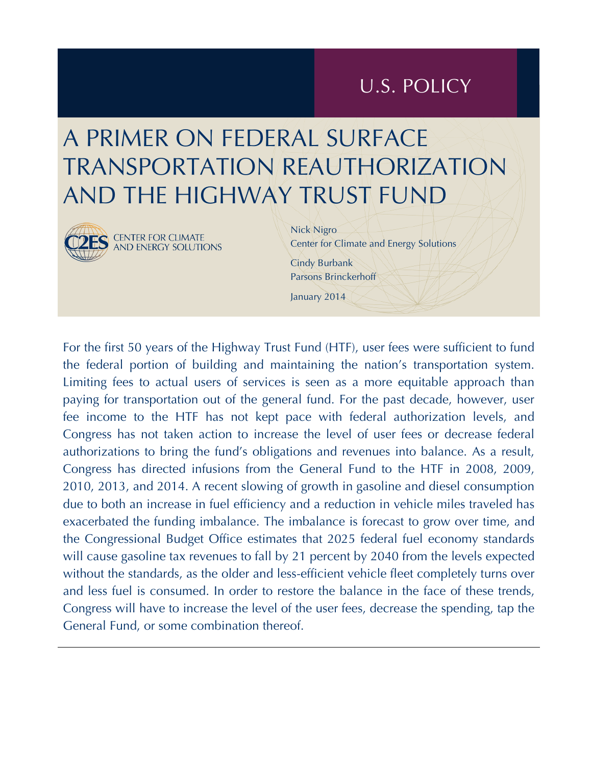## U.S. POLICY

# A PRIMER ON FEDERAL SURFACE TRANSPORTATION REAUTHORIZATION AND THE HIGHWAY TRUST FUND



Nick Nigro Center for Climate and Energy Solutions Cindy Burbank Parsons Brinckerhoff January 2014

For the first 50 years of the Highway Trust Fund (HTF), user fees were sufficient to fund the federal portion of building and maintaining the nation's transportation system. Limiting fees to actual users of services is seen as a more equitable approach than paying for transportation out of the general fund. For the past decade, however, user fee income to the HTF has not kept pace with federal authorization levels, and Congress has not taken action to increase the level of user fees or decrease federal authorizations to bring the fund's obligations and revenues into balance. As a result, Congress has directed infusions from the General Fund to the HTF in 2008, 2009, 2010, 2013, and 2014. A recent slowing of growth in gasoline and diesel consumption due to both an increase in fuel efficiency and a reduction in vehicle miles traveled has exacerbated the funding imbalance. The imbalance is forecast to grow over time, and the Congressional Budget Office estimates that 2025 federal fuel economy standards will cause gasoline tax revenues to fall by 21 percent by 2040 from the levels expected without the standards, as the older and less-efficient vehicle fleet completely turns over and less fuel is consumed. In order to restore the balance in the face of these trends, Congress will have to increase the level of the user fees, decrease the spending, tap the General Fund, or some combination thereof.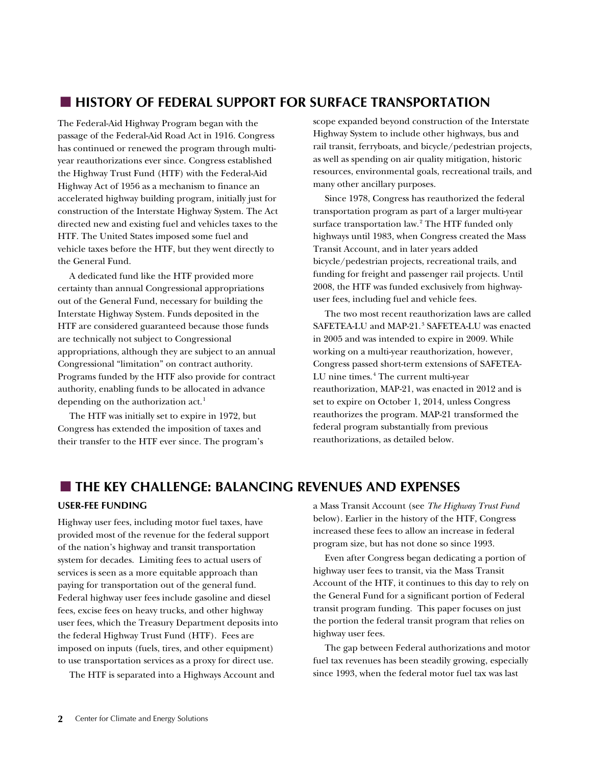## **HISTORY OF FEDERAL SUPPORT FOR SURFACE TRANSPORTATION**

The Federal-Aid Highway Program began with the passage of the Federal-Aid Road Act in 1916. Congress has continued or renewed the program through multiyear reauthorizations ever since. Congress established the Highway Trust Fund (HTF) with the Federal-Aid Highway Act of 1956 as a mechanism to finance an accelerated highway building program, initially just for construction of the Interstate Highway System. The Act directed new and existing fuel and vehicles taxes to the HTF. The United States imposed some fuel and vehicle taxes before the HTF, but they went directly to the General Fund.

A dedicated fund like the HTF provided more certainty than annual Congressional appropriations out of the General Fund, necessary for building the Interstate Highway System. Funds deposited in the HTF are considered guaranteed because those funds are technically not subject to Congressional appropriations, although they are subject to an annual Congressional "limitation" on contract authority. Programs funded by the HTF also provide for contract authority, enabling funds to be allocated in advance depending on the authorization act.<sup>[1](#page-11-0)</sup>

The HTF was initially set to expire in 1972, but Congress has extended the imposition of taxes and their transfer to the HTF ever since. The program's scope expanded beyond construction of the Interstate Highway System to include other highways, bus and rail transit, ferryboats, and bicycle/pedestrian projects, as well as spending on air quality mitigation, historic resources, environmental goals, recreational trails, and many other ancillary purposes.

Since 1978, Congress has reauthorized the federal transportation program as part of a larger multi-year surface transportation law.<sup>[2](#page-11-0)</sup> The HTF funded only highways until 1983, when Congress created the Mass Transit Account, and in later years added bicycle/pedestrian projects, recreational trails, and funding for freight and passenger rail projects. Until 2008, the HTF was funded exclusively from highwayuser fees, including fuel and vehicle fees.

The two most recent reauthorization laws are called SAFETEA-LU and MAP-21.<sup>[3](#page-11-0)</sup> SAFETEA-LU was enacted in 2005 and was intended to expire in 2009. While working on a multi-year reauthorization, however, Congress passed short-term extensions of SAFETEA-LU nine times.<sup>[4](#page-11-0)</sup> The current multi-year reauthorization, MAP-21, was enacted in 2012 and is set to expire on October 1, 2014, unless Congress reauthorizes the program. MAP-21 transformed the federal program substantially from previous reauthorizations, as detailed below.

## **THE KEY CHALLENGE: BALANCING REVENUES AND EXPENSES**

#### **USER-FEE FUNDING**

Highway user fees, including motor fuel taxes, have provided most of the revenue for the federal support of the nation's highway and transit transportation system for decades. Limiting fees to actual users of services is seen as a more equitable approach than paying for transportation out of the general fund. Federal highway user fees include gasoline and diesel fees, excise fees on heavy trucks, and other highway user fees, which the Treasury Department deposits into the federal Highway Trust Fund (HTF). Fees are imposed on inputs (fuels, tires, and other equipment) to use transportation services as a proxy for direct use.

The HTF is separated into a Highways Account and

a Mass Transit Account (see *[The Highway Trust Fund](#page-6-0)* below). Earlier in the history of the HTF, Congress increased these fees to allow an increase in federal program size, but has not done so since 1993.

Even after Congress began dedicating a portion of highway user fees to transit, via the Mass Transit Account of the HTF, it continues to this day to rely on the General Fund for a significant portion of Federal transit program funding. This paper focuses on just the portion the federal transit program that relies on highway user fees.

The gap between Federal authorizations and motor fuel tax revenues has been steadily growing, especially since 1993, when the federal motor fuel tax was last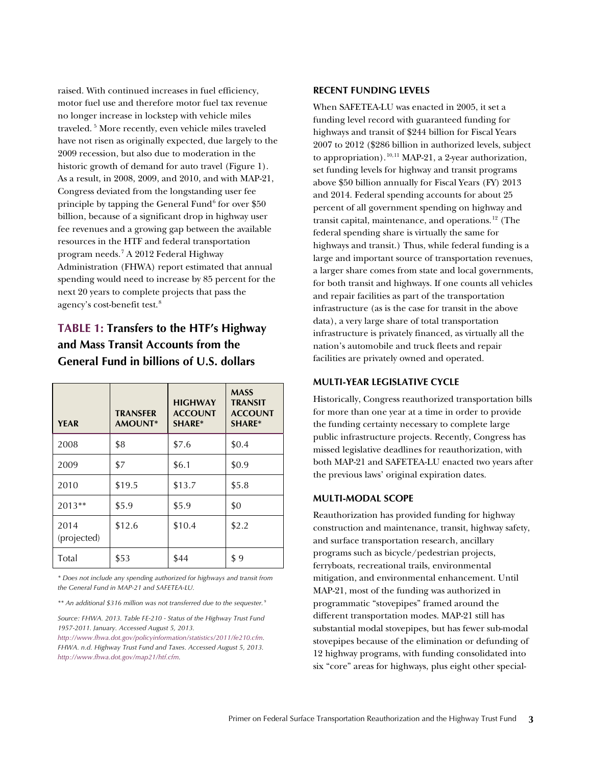raised. With continued increases in fuel efficiency, motor fuel use and therefore motor fuel tax revenue no longer increase in lockstep with vehicle miles traveled. [5](#page-11-0) More recently, even vehicle miles traveled have not risen as originally expected, due largely to the 2009 recession, but also due to moderation in the historic growth of demand for auto travel [\(Figure 1\)](#page-3-0). As a result, in 2008, 2009, and 2010, and with MAP-21, Congress deviated from the longstanding user fee principle by tapping the General Fund<sup>[6](#page-11-0)</sup> for over  $$50$ billion, because of a significant drop in highway user fee revenues and a growing gap between the available resources in the HTF and federal transportation program needs.[7](#page-11-0) A 2012 Federal Highway Administration (FHWA) report estimated that annual spending would need to increase by 85 percent for the next 20 years to complete projects that pass the agency's cost-benefit test.<sup>[8](#page-11-0)</sup>

## **TABLE 1: Transfers to the HTF's Highway and Mass Transit Accounts from the General Fund in billions of U.S. dollars**

| <b>YEAR</b>         | <b>TRANSFER</b><br>AMOUNT* | <b>HIGHWAY</b><br><b>ACCOUNT</b><br><b>SHARE*</b> | <b>MASS</b><br><b>TRANSIT</b><br><b>ACCOUNT</b><br><b>SHARE*</b> |
|---------------------|----------------------------|---------------------------------------------------|------------------------------------------------------------------|
| 2008                | \$8                        | \$7.6                                             | \$0.4                                                            |
| 2009                | \$7                        | \$6.1                                             | \$0.9                                                            |
| 2010                | \$19.5                     | \$13.7                                            | \$5.8                                                            |
| 2013**              | \$5.9                      | \$5.9                                             | \$0                                                              |
| 2014<br>(projected) | \$12.6                     | \$10.4                                            | \$2.2                                                            |
| Total               | \$53                       | \$44                                              | \$9                                                              |

*\* Does not include any spending authorized for highways and transit from the General Fund in MAP-21 and SAFETEA-LU.* 

*\*\* An additional \$316 million was not transferred due to the sequester. [9](#page-11-0)*

*Source: FHWA. 2013. Table FE-210 - Status of the Highway Trust Fund 1957-2011. January. Accessed August 5, 2013.* 

*[http://www.fhwa.dot.gov/policyinformation/statistics/2011/fe210.cfm.](http://www.fhwa.dot.gov/policyinformation/statistics/2011/fe210.cfm)  FHWA. n.d. Highway Trust Fund and Taxes. Accessed August 5, 2013. [http://www.fhwa.dot.gov/map21/htf.cfm.](http://www.fhwa.dot.gov/map21/htf.cfm)* 

#### **RECENT FUNDING LEVELS**

When SAFETEA-LU was enacted in 2005, it set a funding level record with guaranteed funding for highways and transit of \$244 billion for Fiscal Years 2007 to 2012 (\$286 billion in authorized levels, subject to appropriation).<sup>[10,](#page-12-0)11</sup> MAP-21, a 2-year authorization, set funding levels for highway and transit programs above \$50 billion annually for Fiscal Years (FY) 2013 and 2014. Federal spending accounts for about 25 percent of all government spending on highway and transit capital, maintenance, and operations. $^{12}$  $^{12}$  $^{12}$  (The federal spending share is virtually the same for highways and transit.) Thus, while federal funding is a large and important source of transportation revenues, a larger share comes from state and local governments, for both transit and highways. If one counts all vehicles and repair facilities as part of the transportation infrastructure (as is the case for transit in the above data), a very large share of total transportation infrastructure is privately financed, as virtually all the nation's automobile and truck fleets and repair facilities are privately owned and operated.

#### **MULTI-YEAR LEGISLATIVE CYCLE**

Historically, Congress reauthorized transportation bills for more than one year at a time in order to provide the funding certainty necessary to complete large public infrastructure projects. Recently, Congress has missed legislative deadlines for reauthorization, with both MAP-21 and SAFETEA-LU enacted two years after the previous laws' original expiration dates.

#### **MULTI-MODAL SCOPE**

Reauthorization has provided funding for highway construction and maintenance, transit, highway safety, and surface transportation research, ancillary programs such as bicycle/pedestrian projects, ferryboats, recreational trails, environmental mitigation, and environmental enhancement. Until MAP-21, most of the funding was authorized in programmatic "stovepipes" framed around the different transportation modes. MAP-21 still has substantial modal stovepipes, but has fewer sub-modal stovepipes because of the elimination or defunding of 12 highway programs, with funding consolidated into six "core" areas for highways, plus eight other special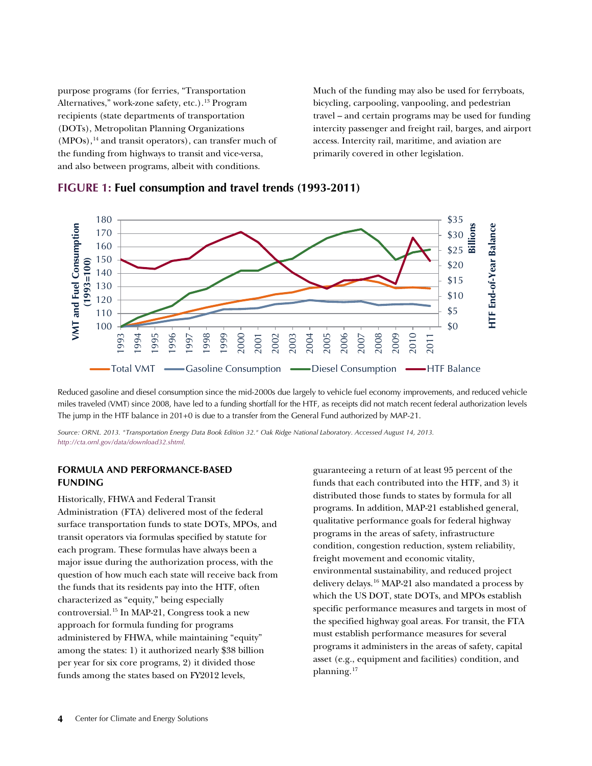purpose programs (for ferries, "Transportation Alternatives," work-zone safety, etc.).<sup>[13](#page-11-0)</sup> Program recipients (state departments of transportation (DOTs), Metropolitan Planning Organizations  $(MPOs)$ ,<sup>[14](#page-11-0)</sup> and transit operators), can transfer much of the funding from highways to transit and vice-versa, and also between programs, albeit with conditions.

Much of the funding may also be used for ferryboats, bicycling, carpooling, vanpooling, and pedestrian travel – and certain programs may be used for funding intercity passenger and freight rail, barges, and airport access. Intercity rail, maritime, and aviation are primarily covered in other legislation.



#### <span id="page-3-0"></span>**FIGURE 1: Fuel consumption and travel trends (1993-2011)**

Reduced gasoline and diesel consumption since the mid-2000s due largely to vehicle fuel economy improvements, and reduced vehicle miles traveled (VMT) since 2008, have led to a funding shortfall for the HTF, as receipts did not match recent federal authorization levels The jump in the HTF balance in 201+0 is due to a transfer from the General Fund authorized by MAP-21.

*Source: ORNL. 2013. "Transportation Energy Data Book Edition 32." Oak Ridge National Laboratory. Accessed August 14, 2013. [http://cta.ornl.gov/data/download32.shtml.](http://cta.ornl.gov/data/download32.shtml)* 

#### **FORMULA AND PERFORMANCE-BASED FUNDING**

Historically, FHWA and Federal Transit

Administration (FTA) delivered most of the federal surface transportation funds to state DOTs, MPOs, and transit operators via formulas specified by statute for each program. These formulas have always been a major issue during the authorization process, with the question of how much each state will receive back from the funds that its residents pay into the HTF, often characterized as "equity," being especially controversial.[15](#page-11-0) In MAP-21, Congress took a new approach for formula funding for programs administered by FHWA, while maintaining "equity" among the states: 1) it authorized nearly \$38 billion per year for six core programs, 2) it divided those funds among the states based on FY2012 levels,

guaranteeing a return of at least 95 percent of the funds that each contributed into the HTF, and 3) it distributed those funds to states by formula for all programs. In addition, MAP-21 established general, qualitative performance goals for federal highway programs in the areas of safety, infrastructure condition, congestion reduction, system reliability, freight movement and economic vitality, environmental sustainability, and reduced project delivery delays.[16](#page-12-1) MAP-21 also mandated a process by which the US DOT, state DOTs, and MPOs establish specific performance measures and targets in most of the specified highway goal areas. For transit, the FTA must establish performance measures for several programs it administers in the areas of safety, capital asset (e.g., equipment and facilities) condition, and planning.[17](#page-12-1)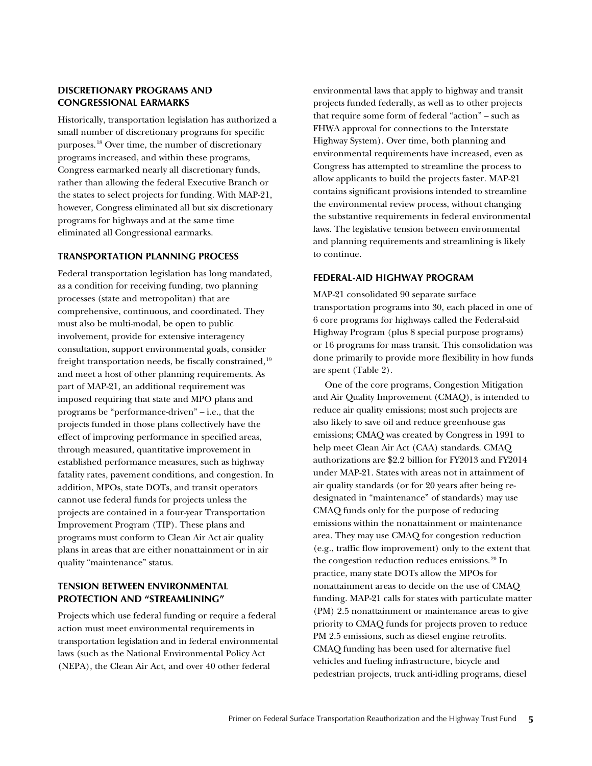#### **DISCRETIONARY PROGRAMS AND CONGRESSIONAL EARMARKS**

Historically, transportation legislation has authorized a small number of discretionary programs for specific purposes.[18](#page-12-1) Over time, the number of discretionary programs increased, and within these programs, Congress earmarked nearly all discretionary funds, rather than allowing the federal Executive Branch or the states to select projects for funding. With MAP-21, however, Congress eliminated all but six discretionary programs for highways and at the same time eliminated all Congressional earmarks.

#### **TRANSPORTATION PLANNING PROCESS**

Federal transportation legislation has long mandated, as a condition for receiving funding, two planning processes (state and metropolitan) that are comprehensive, continuous, and coordinated. They must also be multi-modal, be open to public involvement, provide for extensive interagency consultation, support environmental goals, consider freight transportation needs, be fiscally constrained,<sup>[19](#page-12-1)</sup> and meet a host of other planning requirements. As part of MAP-21, an additional requirement was imposed requiring that state and MPO plans and programs be "performance-driven" – i.e., that the projects funded in those plans collectively have the effect of improving performance in specified areas, through measured, quantitative improvement in established performance measures, such as highway fatality rates, pavement conditions, and congestion. In addition, MPOs, state DOTs, and transit operators cannot use federal funds for projects unless the projects are contained in a four-year Transportation Improvement Program (TIP). These plans and programs must conform to Clean Air Act air quality plans in areas that are either nonattainment or in air quality "maintenance" status.

#### **TENSION BETWEEN ENVIRONMENTAL PROTECTION AND "STREAMLINING"**

Projects which use federal funding or require a federal action must meet environmental requirements in transportation legislation and in federal environmental laws (such as the National Environmental Policy Act (NEPA), the Clean Air Act, and over 40 other federal

environmental laws that apply to highway and transit projects funded federally, as well as to other projects that require some form of federal "action" – such as FHWA approval for connections to the Interstate Highway System). Over time, both planning and environmental requirements have increased, even as Congress has attempted to streamline the process to allow applicants to build the projects faster. MAP-21 contains significant provisions intended to streamline the environmental review process, without changing the substantive requirements in federal environmental laws. The legislative tension between environmental and planning requirements and streamlining is likely to continue.

#### **FEDERAL-AID HIGHWAY PROGRAM**

MAP-21 consolidated 90 separate surface transportation programs into 30, each placed in one of 6 core programs for highways called the Federal-aid Highway Program (plus 8 special purpose programs) or 16 programs for mass transit. This consolidation was done primarily to provide more flexibility in how funds are spent ([Table 2\)](#page-5-0).

One of the core programs, Congestion Mitigation and Air Quality Improvement (CMAQ), is intended to reduce air quality emissions; most such projects are also likely to save oil and reduce greenhouse gas emissions; CMAQ was created by Congress in 1991 to help meet Clean Air Act (CAA) standards. CMAQ authorizations are \$2.2 billion for FY2013 and FY2014 under MAP-21. States with areas not in attainment of air quality standards (or for 20 years after being redesignated in "maintenance" of standards) may use CMAQ funds only for the purpose of reducing emissions within the nonattainment or maintenance area. They may use CMAQ for congestion reduction (e.g., traffic flow improvement) only to the extent that the congestion reduction reduces emissions.<sup>[20](#page-12-1)</sup> In practice, many state DOTs allow the MPOs for nonattainment areas to decide on the use of CMAQ funding. MAP-21 calls for states with particulate matter (PM) 2.5 nonattainment or maintenance areas to give priority to CMAQ funds for projects proven to reduce PM 2.5 emissions, such as diesel engine retrofits. CMAQ funding has been used for alternative fuel vehicles and fueling infrastructure, bicycle and pedestrian projects, truck anti-idling programs, diesel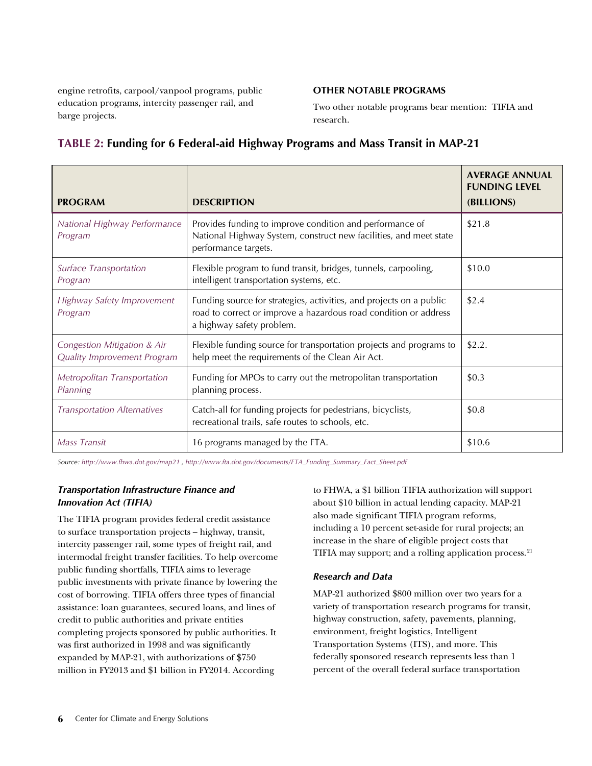<span id="page-5-0"></span>engine retrofits, carpool/vanpool programs, public education programs, intercity passenger rail, and barge projects.

#### **OTHER NOTABLE PROGRAMS**

Two other notable programs bear mention: TIFIA and research.

| <b>PROGRAM</b>                                             | <b>DESCRIPTION</b>                                                                                                                                                   | <b>AVERAGE ANNUAL</b><br><b>FUNDING LEVEL</b><br>(BILLIONS) |
|------------------------------------------------------------|----------------------------------------------------------------------------------------------------------------------------------------------------------------------|-------------------------------------------------------------|
| National Highway Performance<br>Program                    | Provides funding to improve condition and performance of<br>National Highway System, construct new facilities, and meet state<br>performance targets.                | \$21.8                                                      |
| Surface Transportation<br>Program                          | Flexible program to fund transit, bridges, tunnels, carpooling,<br>intelligent transportation systems, etc.                                                          | \$10.0                                                      |
| Highway Safety Improvement<br>Program                      | Funding source for strategies, activities, and projects on a public<br>road to correct or improve a hazardous road condition or address<br>a highway safety problem. | \$2.4                                                       |
| Congestion Mitigation & Air<br>Quality Improvement Program | Flexible funding source for transportation projects and programs to<br>help meet the requirements of the Clean Air Act.                                              | \$2.2.                                                      |
| Metropolitan Transportation<br>Planning                    | Funding for MPOs to carry out the metropolitan transportation<br>planning process.                                                                                   | \$0.3                                                       |
| <b>Transportation Alternatives</b>                         | Catch-all for funding projects for pedestrians, bicyclists,<br>recreational trails, safe routes to schools, etc.                                                     | \$0.8                                                       |
| Mass Transit                                               | 16 programs managed by the FTA.                                                                                                                                      | \$10.6                                                      |

### **TABLE 2: Funding for 6 Federal-aid Highway Programs and Mass Transit in MAP-21**

*Source: [http://www.fhwa.dot.gov/map21](http://www.fta.dot.gov/map21.html) , [http://www.fta.dot.gov/documents/FTA\\_Funding\\_Summary\\_Fact\\_Sheet.pdf](http://www.fta.dot.gov/documents/FTA_Funding_Summary_Fact_Sheet.pdf)* 

#### *Transportation Infrastructure Finance and Innovation Act (TIFIA)*

The TIFIA program provides federal credit assistance to surface transportation projects – highway, transit, intercity passenger rail, some types of freight rail, and intermodal freight transfer facilities. To help overcome public funding shortfalls, TIFIA aims to leverage public investments with private finance by lowering the cost of borrowing. TIFIA offers three types of financial assistance: loan guarantees, secured loans, and lines of credit to public authorities and private entities completing projects sponsored by public authorities. It was first authorized in 1998 and was significantly expanded by MAP-21, with authorizations of \$750 million in FY2013 and \$1 billion in FY2014. According

to FHWA, a \$1 billion TIFIA authorization will support about \$10 billion in actual lending capacity. MAP-21 also made significant TIFIA program reforms, including a 10 percent set-aside for rural projects; an increase in the share of eligible project costs that TIFIA may support; and a rolling application process.<sup>[21](#page-12-1)</sup>

#### *Research and Data*

MAP-21 authorized \$800 million over two years for a variety of transportation research programs for transit, highway construction, safety, pavements, planning, environment, freight logistics, Intelligent Transportation Systems (ITS), and more. This federally sponsored research represents less than 1 percent of the overall federal surface transportation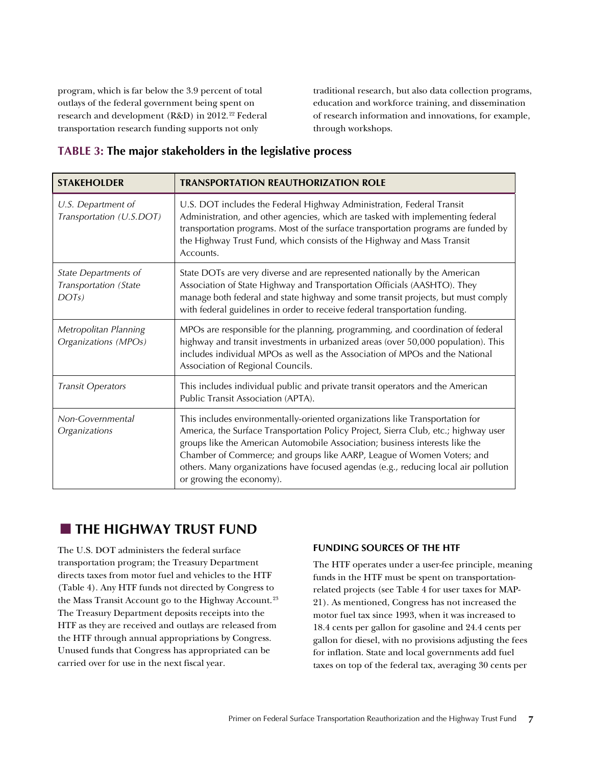<span id="page-6-0"></span>program, which is far below the 3.9 percent of total outlays of the federal government being spent on research and development (R&D) in 2012.<sup>[22](#page-12-1)</sup> Federal transportation research funding supports not only

traditional research, but also data collection programs, education and workforce training, and dissemination of research information and innovations, for example, through workshops.

#### **TABLE 3: The major stakeholders in the legislative process**

| <b>STAKEHOLDER</b>                                     | <b>TRANSPORTATION REAUTHORIZATION ROLE</b>                                                                                                                                                                                                                                                                                                                                                                                                       |  |  |
|--------------------------------------------------------|--------------------------------------------------------------------------------------------------------------------------------------------------------------------------------------------------------------------------------------------------------------------------------------------------------------------------------------------------------------------------------------------------------------------------------------------------|--|--|
| U.S. Department of<br>Transportation (U.S.DOT)         | U.S. DOT includes the Federal Highway Administration, Federal Transit<br>Administration, and other agencies, which are tasked with implementing federal<br>transportation programs. Most of the surface transportation programs are funded by<br>the Highway Trust Fund, which consists of the Highway and Mass Transit<br>Accounts.                                                                                                             |  |  |
| State Departments of<br>Transportation (State<br>DOTS) | State DOTs are very diverse and are represented nationally by the American<br>Association of State Highway and Transportation Officials (AASHTO). They<br>manage both federal and state highway and some transit projects, but must comply<br>with federal guidelines in order to receive federal transportation funding.                                                                                                                        |  |  |
| Metropolitan Planning<br>Organizations (MPOs)          | MPOs are responsible for the planning, programming, and coordination of federal<br>highway and transit investments in urbanized areas (over 50,000 population). This<br>includes individual MPOs as well as the Association of MPOs and the National<br>Association of Regional Councils.                                                                                                                                                        |  |  |
| <b>Transit Operators</b>                               | This includes individual public and private transit operators and the American<br>Public Transit Association (APTA).                                                                                                                                                                                                                                                                                                                             |  |  |
| Non-Governmental<br>Organizations                      | This includes environmentally-oriented organizations like Transportation for<br>America, the Surface Transportation Policy Project, Sierra Club, etc.; highway user<br>groups like the American Automobile Association; business interests like the<br>Chamber of Commerce; and groups like AARP, League of Women Voters; and<br>others. Many organizations have focused agendas (e.g., reducing local air pollution<br>or growing the economy). |  |  |

## **THE HIGHWAY TRUST FUND**

The U.S. DOT administers the federal surface transportation program; the Treasury Department directs taxes from motor fuel and vehicles to the HTF ([Table 4\).](#page-7-0) Any HTF funds not directed by Congress to the Mass Transit Account go to the Highway Account.<sup>[23](#page-12-1)</sup> The Treasury Department deposits receipts into the HTF as they are received and outlays are released from the HTF through annual appropriations by Congress. Unused funds that Congress has appropriated can be carried over for use in the next fiscal year.

#### **FUNDING SOURCES OF THE HTF**

The HTF operates under a user-fee principle, meaning funds in the HTF must be spent on transportationrelated projects (see [Table 4](#page-7-0) for user taxes for MAP-21). As mentioned, Congress has not increased the motor fuel tax since 1993, when it was increased to 18.4 cents per gallon for gasoline and 24.4 cents per gallon for diesel, with no provisions adjusting the fees for inflation. State and local governments add fuel taxes on top of the federal tax, averaging 30 cents per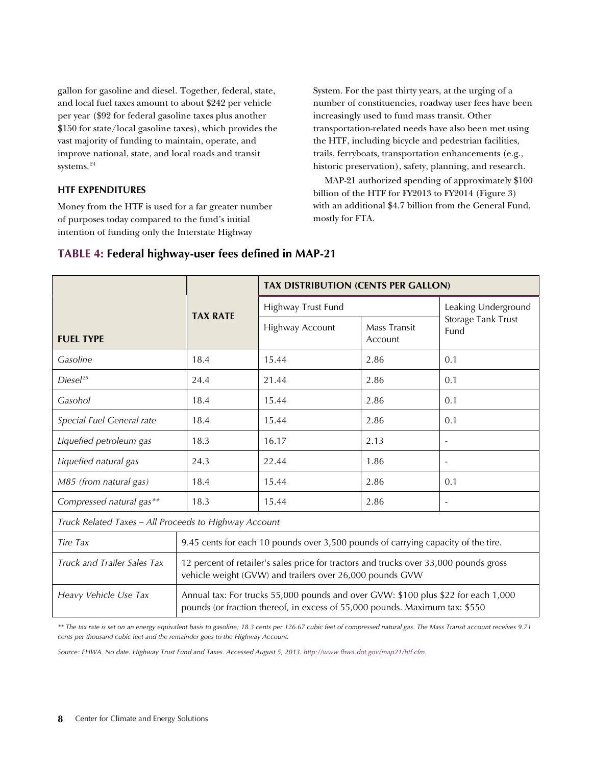<span id="page-7-0"></span>gallon for gasoline and diesel. Together, federal, state, and local fuel taxes amount to about \$242 per vehicle per year (\$92 for federal gasoline taxes plus another \$150 for state/local gasoline taxes), which provides the vast majority of funding to maintain, operate, and improve national, state, and local roads and transit systems.<sup>[24](#page-12-1)</sup>

#### **HTF EXPENDITURES**

Money from the HTF is used for a far greater number of purposes today compared to the fund's initial intention of funding only the Interstate Highway

System. For the past thirty years, at the urging of a number of constituencies, roadway user fees have been increasingly used to fund mass transit. Other transportation-related needs have also been met using the HTF, including bicycle and pedestrian facilities, trails, ferryboats, transportation enhancements (e.g., historic preservation), safety, planning, and research.

MAP-21 authorized spending of approximately \$100 billion of the HTF for FY2013 to FY2014 [\(Figure 3](#page-8-0)) with an additional \$4.7 billion from the General Fund, mostly for FTA.

|                                                       | <b>TAX RATE</b>                                                                                                                                                  | <b>TAX DISTRIBUTION (CENTS PER GALLON)</b> |                         |                            |  |  |
|-------------------------------------------------------|------------------------------------------------------------------------------------------------------------------------------------------------------------------|--------------------------------------------|-------------------------|----------------------------|--|--|
|                                                       |                                                                                                                                                                  | Highway Trust Fund                         |                         | Leaking Underground        |  |  |
| <b>FUEL TYPE</b>                                      |                                                                                                                                                                  | Highway Account                            | Mass Transit<br>Account | Storage Tank Trust<br>Fund |  |  |
| Gasoline                                              | 18.4                                                                                                                                                             | 15.44                                      | 2.86                    | 0.1                        |  |  |
| Diesel <sup>25</sup>                                  | 24.4                                                                                                                                                             | 21.44                                      | 2.86                    | 0.1                        |  |  |
| Gasohol                                               | 18.4                                                                                                                                                             | 15.44                                      | 2.86                    | 0.1                        |  |  |
| Special Fuel General rate                             | 18.4                                                                                                                                                             | 15.44                                      | 2.86                    | 0.1                        |  |  |
| Liquefied petroleum gas                               | 18.3                                                                                                                                                             | 16.17                                      | 2.13                    | $\overline{\phantom{a}}$   |  |  |
| Liquefied natural gas                                 | 24.3                                                                                                                                                             | 22.44                                      | 1.86                    | $\blacksquare$             |  |  |
| M85 (from natural gas)                                | 18.4                                                                                                                                                             | 15.44                                      | 2.86                    | 0.1                        |  |  |
| Compressed natural gas**                              | 18.3                                                                                                                                                             | 15.44                                      | 2.86                    | $\overline{\phantom{a}}$   |  |  |
| Truck Related Taxes - All Proceeds to Highway Account |                                                                                                                                                                  |                                            |                         |                            |  |  |
| Tire Tax                                              | 9.45 cents for each 10 pounds over 3,500 pounds of carrying capacity of the tire.                                                                                |                                            |                         |                            |  |  |
| Truck and Trailer Sales Tax                           | 12 percent of retailer's sales price for tractors and trucks over 33,000 pounds gross<br>vehicle weight (GVW) and trailers over 26,000 pounds GVW                |                                            |                         |                            |  |  |
| Heavy Vehicle Use Tax                                 | Annual tax: For trucks 55,000 pounds and over GVW: \$100 plus \$22 for each 1,000<br>pounds (or fraction thereof, in excess of 55,000 pounds. Maximum tax: \$550 |                                            |                         |                            |  |  |

#### **TABLE 4: Federal highway-user fees defined in MAP-21**

*\*\* The tax rate is set on an energy equivalent basis to gasoline; 18.3 cents per 126.67 cubic feet of compressed natural gas. The Mass Transit account receives 9.71 cents per thousand cubic feet and the remainder goes to the Highway Account.*

*Source: FHWA. No date. Highway Trust Fund and Taxes. Accessed August 5, 2013. [http://www.fhwa.dot.gov/map21/htf.cfm.](http://www.fhwa.dot.gov/map21/htf.cfm)*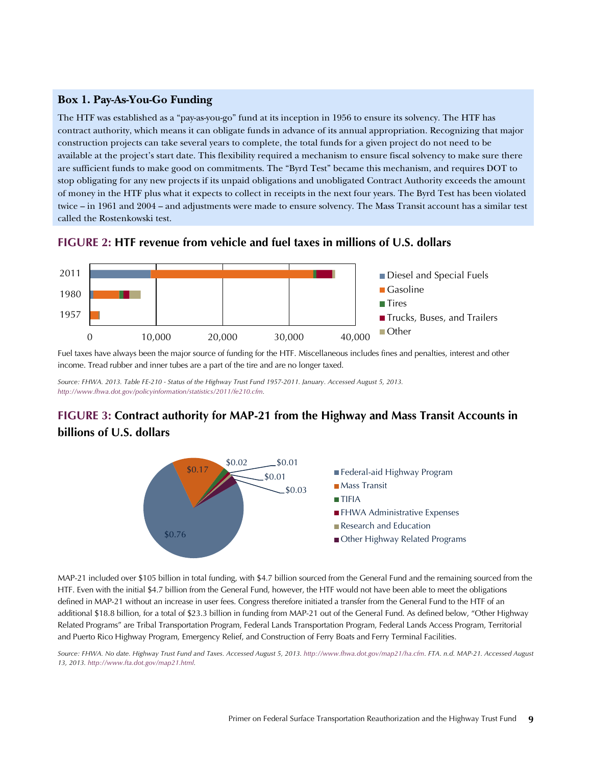#### <span id="page-8-0"></span>**Box 1. Pay-As-You-Go Funding**

The HTF was established as a "pay-as-you-go" fund at its inception in 1956 to ensure its solvency. The HTF has contract authority, which means it can obligate funds in advance of its annual appropriation. Recognizing that major construction projects can take several years to complete, the total funds for a given project do not need to be available at the project's start date. This flexibility required a mechanism to ensure fiscal solvency to make sure there are sufficient funds to make good on commitments. The "Byrd Test" became this mechanism, and requires DOT to stop obligating for any new projects if its unpaid obligations and unobligated Contract Authority exceeds the amount of money in the HTF plus what it expects to collect in receipts in the next four years. The Byrd Test has been violated twice – in 1961 and 2004 – and adjustments were made to ensure solvency. The Mass Transit account has a similar test called the Rostenkowski test.

#### **FIGURE 2: HTF revenue from vehicle and fuel taxes in millions of U.S. dollars**



Fuel taxes have always been the major source of funding for the HTF. Miscellaneous includes fines and penalties, interest and other income. Tread rubber and inner tubes are a part of the tire and are no longer taxed.

*Source: FHWA. 2013. Table FE-210 - Status of the Highway Trust Fund 1957-2011. January. Accessed August 5, 2013. [http://www.fhwa.dot.gov/policyinformation/statistics/2011/fe210.cfm.](http://www.fhwa.dot.gov/policyinformation/statistics/2011/fe210.cfm)*

## **FIGURE 3: Contract authority for MAP-21 from the Highway and Mass Transit Accounts in billions of U.S. dollars**



MAP-21 included over \$105 billion in total funding, with \$4.7 billion sourced from the General Fund and the remaining sourced from the HTF. Even with the initial \$4.7 billion from the General Fund, however, the HTF would not have been able to meet the obligations defined in MAP-21 without an increase in user fees. Congress therefore initiated a transfer from the General Fund to the HTF of an additional \$18.8 billion, for a total of \$23.3 billion in funding from MAP-21 out of the General Fund. As defined below, "Other Highway Related Programs" are Tribal Transportation Program, Federal Lands Transportation Program, Federal Lands Access Program, Territorial and Puerto Rico Highway Program, Emergency Relief, and Construction of Ferry Boats and Ferry Terminal Facilities.

*Source: FHWA. No date. Highway Trust Fund and Taxes. Accessed August 5, 2013[. http://www.fhwa.dot.gov/map21/ha.cfm.](http://www.fhwa.dot.gov/map21/ha.cfm) FTA. n.d. MAP-21. Accessed August 13, 2013. [http://www.fta.dot.gov/map21.html.](http://www.fta.dot.gov/map21.html)*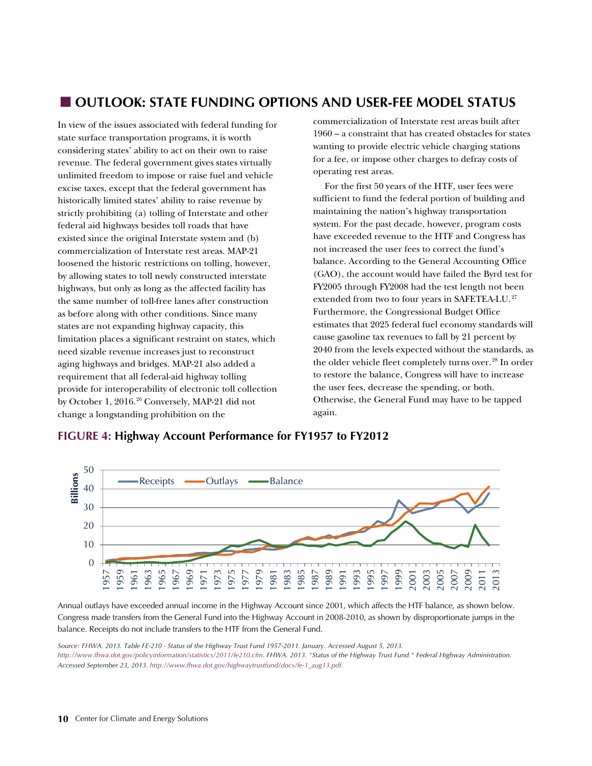## **OUTLOOK: STATE FUNDING OPTIONS AND USER-FEE MODEL STATUS**

In view of the issues associated with federal funding for state surface transportation programs, it is worth considering states' ability to act on their own to raise revenue. The federal government gives states virtually unlimited freedom to impose or raise fuel and vehicle excise taxes, except that the federal government has historically limited states' ability to raise revenue by strictly prohibiting (a) tolling of Interstate and other federal aid highways besides toll roads that have existed since the original Interstate system and (b) commercialization of Interstate rest areas. MAP-21 loosened the historic restrictions on tolling, however, by allowing states to toll newly constructed interstate highways, but only as long as the affected facility has the same number of toll-free lanes after construction as before along with other conditions. Since many states are not expanding highway capacity, this limitation places a significant restraint on states, which need sizable revenue increases just to reconstruct aging highways and bridges. MAP-21 also added a requirement that all federal-aid highway tolling provide for interoperability of electronic toll collection by October 1, 2016.<sup>[26](#page-12-2)</sup> Conversely, MAP-21 did not change a longstanding prohibition on the

commercialization of Interstate rest areas built after 1960 – a constraint that has created obstacles for states wanting to provide electric vehicle charging stations for a fee, or impose other charges to defray costs of operating rest areas.

For the first 50 years of the HTF, user fees were sufficient to fund the federal portion of building and maintaining the nation's highway transportation system. For the past decade, however, program costs have exceeded revenue to the HTF and Congress has not increased the user fees to correct the fund's balance. According to the General Accounting Office (GAO), the account would have failed the Byrd test for FY2005 through FY2008 had the test length not been extended from two to four years in SAFETEA-LU.<sup>[27](#page-12-1)</sup> Furthermore, the Congressional Budget Office estimates that 2025 federal fuel economy standards will cause gasoline tax revenues to fall by 21 percent by 2040 from the levels expected without the standards, as the older vehicle fleet completely turns over. [28](#page-12-1) In order to restore the balance, Congress will have to increase the user fees, decrease the spending, or both. Otherwise, the General Fund may have to be tapped again.



#### **FIGURE 4: Highway Account Performance for FY1957 to FY2012**

Annual outlays have exceeded annual income in the Highway Account since 2001, which affects the HTF balance, as shown below. Congress made transfers from the General Fund into the Highway Account in 2008-2010, as shown by disproportionate jumps in the balance. Receipts do not include transfers to the HTF from the General Fund.

*Source: FHWA. 2013. Table FE-210 - Status of the Highway Trust Fund 1957-2011. January. Accessed August 5, 2013.*  [http://www.fhwa.dot.gov/policyinformation/statistics/2011/fe210.cfm.](http://www.fhwa.dot.gov/policyinformation/statistics/2011/fe210.cfm) FHWA. 2013. "Status of the Highway Trust Fund." Federal Highway Administration. *Accessed September 23, 2013[. http://www.fhwa.dot.gov/highwaytrustfund/docs/fe-1\\_aug13.pdf.](http://www.fhwa.dot.gov/highwaytrustfund/docs/fe-1_aug13.pdf)*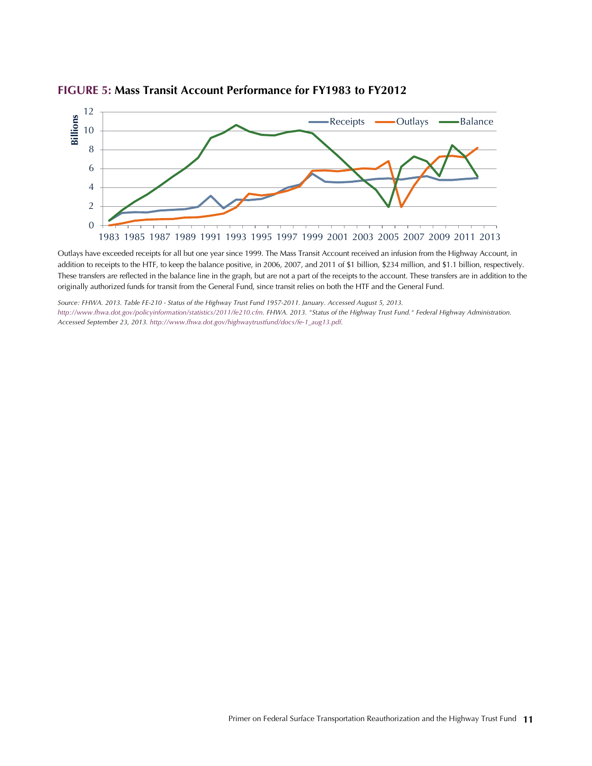

#### **FIGURE 5: Mass Transit Account Performance for FY1983 to FY2012**

Outlays have exceeded receipts for all but one year since 1999. The Mass Transit Account received an infusion from the Highway Account, in addition to receipts to the HTF, to keep the balance positive, in 2006, 2007, and 2011 of \$1 billion, \$234 million, and \$1.1 billion, respectively. These transfers are reflected in the balance line in the graph, but are not a part of the receipts to the account. These transfers are in addition to the originally authorized funds for transit from the General Fund, since transit relies on both the HTF and the General Fund.

*Source: FHWA. 2013. Table FE-210 - Status of the Highway Trust Fund 1957-2011. January. Accessed August 5, 2013. [http://www.fhwa.dot.gov/policyinformation/statistics/2011/fe210.cfm.](http://www.fhwa.dot.gov/policyinformation/statistics/2011/fe210.cfm) FHWA. 2013. "Status of the Highway Trust Fund." Federal Highway Administration. Accessed September 23, 2013. [http://www.fhwa.dot.gov/highwaytrustfund/docs/fe-1\\_aug13.pdf.](http://www.fhwa.dot.gov/highwaytrustfund/docs/fe-1_aug13.pdf)*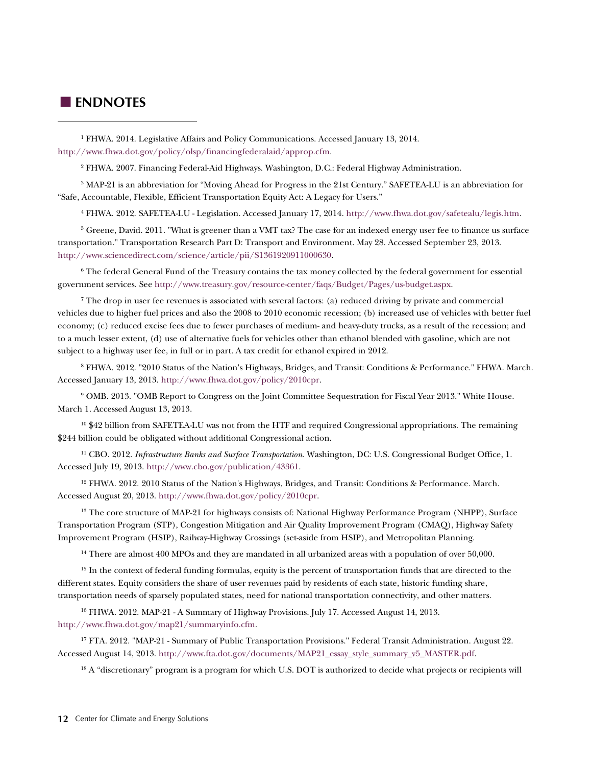#### <span id="page-11-0"></span>**ENDNOTES**

 $\overline{a}$ 

<sup>1</sup> FHWA. 2014. Legislative Affairs and Policy Communications. Accessed January 13, 2014. <http://www.fhwa.dot.gov/policy/olsp/financingfederalaid/approp.cfm>.

<sup>2</sup> FHWA. 2007. Financing Federal-Aid Highways. Washington, D.C.: Federal Highway Administration.

3 MAP-21 is an abbreviation for "Moving Ahead for Progress in the 21st Century." SAFETEA-LU is an abbreviation for "Safe, Accountable, Flexible, Efficient Transportation Equity Act: A Legacy for Users."

<sup>4</sup> FHWA. 2012. SAFETEA-LU - Legislation. Accessed January 17, 2014. [http://www.fhwa.dot.gov/safetealu/legis.htm.](http://www.fhwa.dot.gov/safetealu/legis.htm) 

<sup>5</sup> Greene, David. 2011. "What is greener than a VMT tax? The case for an indexed energy user fee to finance us surface transportation." Transportation Research Part D: Transport and Environment. May 28. Accessed September 23, 2013. [http://www.sciencedirect.com/science/article/pii/S1361920911000630.](http://www.sciencedirect.com/science/article/pii/S1361920911000630)

<sup>6</sup> The federal General Fund of the Treasury contains the tax money collected by the federal government for essential government services. See [http://www.treasury.gov/resource-center/faqs/Budget/Pages/us-budget.aspx.](http://www.treasury.gov/resource-center/faqs/Budget/Pages/us-budget.aspx) 

 $^7$  The drop in user fee revenues is associated with several factors: (a) reduced driving by private and commercial vehicles due to higher fuel prices and also the 2008 to 2010 economic recession; (b) increased use of vehicles with better fuel economy; (c) reduced excise fees due to fewer purchases of medium- and heavy-duty trucks, as a result of the recession; and to a much lesser extent, (d) use of alternative fuels for vehicles other than ethanol blended with gasoline, which are not subject to a highway user fee, in full or in part. A tax credit for ethanol expired in 2012.

<sup>8</sup> FHWA. 2012. "2010 Status of the Nation's Highways, Bridges, and Transit: Conditions & Performance." FHWA. March. Accessed January 13, 2013. [http://www.fhwa.dot.gov/policy/2010cpr.](http://www.fhwa.dot.gov/policy/2010cpr) 

<sup>9</sup> OMB. 2013. "OMB Report to Congress on the Joint Committee Sequestration for Fiscal Year 2013." White House. March 1. Accessed August 13, 2013.

 $10$  \$42 billion from SAFETEA-LU was not from the HTF and required Congressional appropriations. The remaining \$244 billion could be obligated without additional Congressional action.

<sup>11</sup> CBO. 2012. *Infrastructure Banks and Surface Transportation.* Washington, DC: U.S. Congressional Budget Office, 1. Accessed July 19, 2013[. http://www.cbo.gov/publication/43361](http://www.cbo.gov/publication/43361).

<sup>12</sup> FHWA. 2012. 2010 Status of the Nation's Highways, Bridges, and Transit: Conditions & Performance. March. Accessed August 20, 2013. [http://www.fhwa.dot.gov/policy/2010cpr.](http://www.fhwa.dot.gov/policy/2010cpr)

<sup>13</sup> The core structure of MAP-21 for highways consists of: National Highway Performance Program (NHPP), Surface Transportation Program (STP), Congestion Mitigation and Air Quality Improvement Program (CMAQ), Highway Safety Improvement Program (HSIP), Railway-Highway Crossings (set-aside from HSIP), and Metropolitan Planning.

<sup>14</sup> There are almost 400 MPOs and they are mandated in all urbanized areas with a population of over 50,000.

<sup>15</sup> In the context of federal funding formulas, equity is the percent of transportation funds that are directed to the different states. Equity considers the share of user revenues paid by residents of each state, historic funding share, transportation needs of sparsely populated states, need for national transportation connectivity, and other matters.

<sup>16</sup> FHWA. 2012. MAP-21 - A Summary of Highway Provisions. July 17. Accessed August 14, 2013. [http://www.fhwa.dot.gov/map21/summaryinfo.cfm.](http://www.fhwa.dot.gov/map21/summaryinfo.cfm/)

<sup>17</sup> FTA. 2012. "MAP-21 - Summary of Public Transportation Provisions." Federal Transit Administration. August 22. Accessed August 14, 2013. [http://www.fta.dot.gov/documents/MAP21\\_essay\\_style\\_summary\\_v5\\_MASTER.pdf.](http://www.fta.dot.gov/documents/MAP21_essay_style_summary_v5_MASTER.pdf)

<sup>18</sup> A "discretionary" program is a program for which U.S. DOT is authorized to decide what projects or recipients will